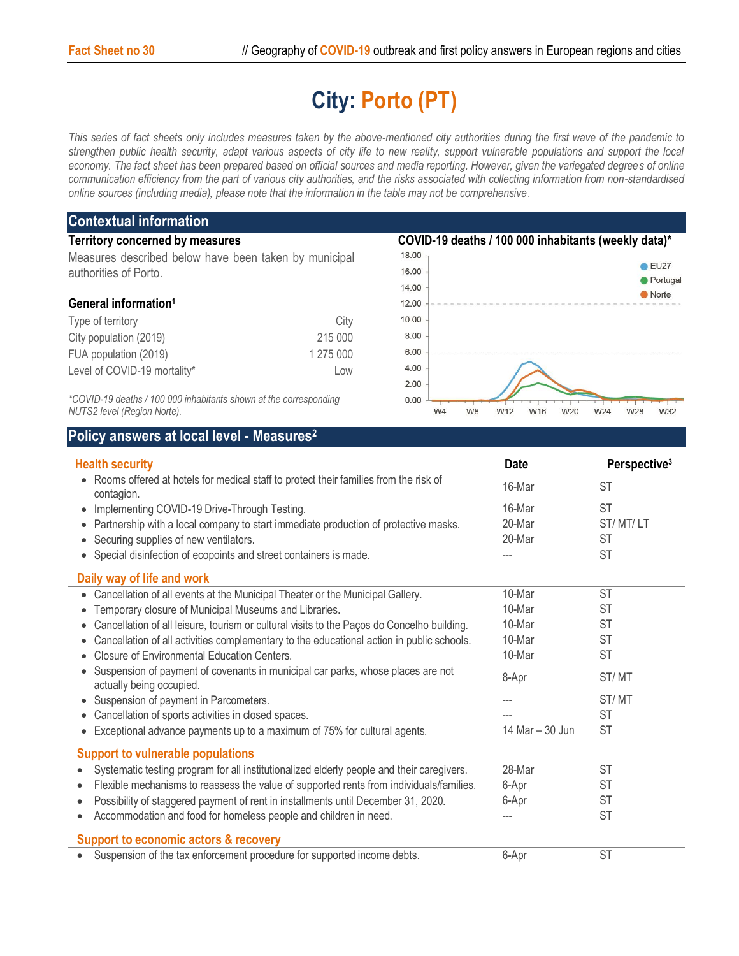## **City: Porto (PT)**

*This series of fact sheets only includes measures taken by the above-mentioned city authorities during the first wave of the pandemic to strengthen public health security, adapt various aspects of city life to new reality, support vulnerable populations and support the local economy. The fact sheet has been prepared based on official sources and media reporting. However, given the variegated degrees of online communication efficiency from the part of various city authorities, and the risks associated with collecting information from non-standardised online sources (including media), please note that the information in the table may not be comprehensive*.

| <b>Contextual information</b>                                     |           |                                                      |                   |  |
|-------------------------------------------------------------------|-----------|------------------------------------------------------|-------------------|--|
| <b>Territory concerned by measures</b>                            |           | COVID-19 deaths / 100 000 inhabitants (weekly data)* |                   |  |
| Measures described below have been taken by municipal             |           | 18.00                                                |                   |  |
| authorities of Porto.                                             |           | 16.00                                                | EU27              |  |
|                                                                   |           | 14.00                                                | Portugal<br>Norte |  |
| General information <sup>1</sup>                                  |           | 12.00                                                |                   |  |
| Type of territory                                                 | City      | 10.00                                                |                   |  |
| City population (2019)                                            | 215 000   | 8.00                                                 |                   |  |
| FUA population (2019)                                             | 1 275 000 | 6.00                                                 |                   |  |
| Level of COVID-19 mortality*                                      | Low       | 4.00                                                 |                   |  |
|                                                                   |           | 2.00                                                 |                   |  |
| *COVID-19 deaths / 100 000 inhabitants shown at the corresponding |           | 0.00                                                 |                   |  |

W4

W8

W12

W16

W20

W24

W28

W32

*NUTS2 level (Region Norte).*

## **Policy answers at local level - Measures<sup>2</sup>**

| <b>Health security</b>                                                                                      | <b>Date</b>     | Perspective <sup>3</sup> |  |  |  |  |
|-------------------------------------------------------------------------------------------------------------|-----------------|--------------------------|--|--|--|--|
| • Rooms offered at hotels for medical staff to protect their families from the risk of<br>contagion.        | 16-Mar          | <b>ST</b>                |  |  |  |  |
| Implementing COVID-19 Drive-Through Testing.<br>$\bullet$                                                   | 16-Mar          | <b>ST</b>                |  |  |  |  |
| Partnership with a local company to start immediate production of protective masks.                         | 20-Mar          | ST/MT/LT                 |  |  |  |  |
| Securing supplies of new ventilators.<br>$\bullet$                                                          | 20-Mar          | <b>ST</b>                |  |  |  |  |
| Special disinfection of ecopoints and street containers is made.                                            |                 | <b>ST</b>                |  |  |  |  |
| Daily way of life and work                                                                                  |                 |                          |  |  |  |  |
| Cancellation of all events at the Municipal Theater or the Municipal Gallery.<br>$\bullet$                  | 10-Mar          | <b>ST</b>                |  |  |  |  |
| Temporary closure of Municipal Museums and Libraries.                                                       | 10-Mar          | <b>ST</b>                |  |  |  |  |
| Cancellation of all leisure, tourism or cultural visits to the Paços do Concelho building.                  | 10-Mar          | <b>ST</b>                |  |  |  |  |
| Cancellation of all activities complementary to the educational action in public schools.<br>$\bullet$      | 10-Mar          | <b>ST</b>                |  |  |  |  |
| <b>Closure of Environmental Education Centers.</b>                                                          | 10-Mar          | <b>ST</b>                |  |  |  |  |
| Suspension of payment of covenants in municipal car parks, whose places are not<br>actually being occupied. | 8-Apr           | ST/MT                    |  |  |  |  |
| Suspension of payment in Parcometers.                                                                       |                 | ST/MT                    |  |  |  |  |
| Cancellation of sports activities in closed spaces.                                                         |                 | <b>ST</b>                |  |  |  |  |
| Exceptional advance payments up to a maximum of 75% for cultural agents.                                    | 14 Mar - 30 Jun | <b>ST</b>                |  |  |  |  |
| <b>Support to vulnerable populations</b>                                                                    |                 |                          |  |  |  |  |
| Systematic testing program for all institutionalized elderly people and their caregivers.<br>$\bullet$      | 28-Mar          | <b>ST</b>                |  |  |  |  |
| Flexible mechanisms to reassess the value of supported rents from individuals/families.                     | 6-Apr           | <b>ST</b>                |  |  |  |  |
| Possibility of staggered payment of rent in installments until December 31, 2020.                           | 6-Apr           | <b>ST</b>                |  |  |  |  |
| Accommodation and food for homeless people and children in need.<br>$\bullet$                               |                 | <b>ST</b>                |  |  |  |  |
| <b>Support to economic actors &amp; recovery</b>                                                            |                 |                          |  |  |  |  |
| Suspension of the tax enforcement procedure for supported income debts.<br>$\bullet$                        | 6-Apr           | <b>ST</b>                |  |  |  |  |